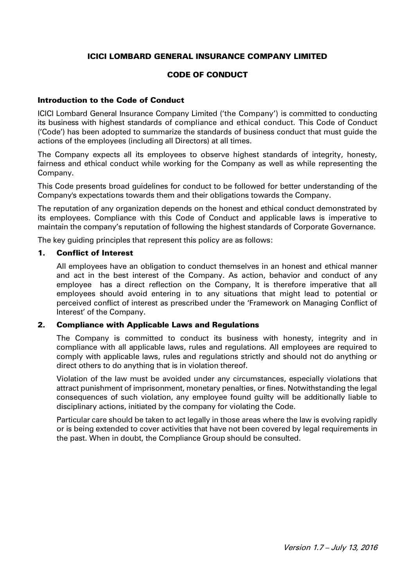# ICICI LOMBARD GENERAL INSURANCE COMPANY LIMITED

# CODE OF CONDUCT

### Introduction to the Code of Conduct

ICICI Lombard General Insurance Company Limited ('the Company') is committed to conducting its business with highest standards of compliance and ethical conduct. This Code of Conduct ('Code') has been adopted to summarize the standards of business conduct that must guide the actions of the employees (including all Directors) at all times.

The Company expects all its employees to observe highest standards of integrity, honesty, fairness and ethical conduct while working for the Company as well as while representing the Company.

This Code presents broad guidelines for conduct to be followed for better understanding of the Company's expectations towards them and their obligations towards the Company.

The reputation of any organization depends on the honest and ethical conduct demonstrated by its employees. Compliance with this Code of Conduct and applicable laws is imperative to maintain the company's reputation of following the highest standards of Corporate Governance.

The key guiding principles that represent this policy are as follows:

#### 1. Conflict of Interest

All employees have an obligation to conduct themselves in an honest and ethical manner and act in the best interest of the Company. As action, behavior and conduct of any employee has a direct reflection on the Company, It is therefore imperative that all employees should avoid entering in to any situations that might lead to potential or perceived conflict of interest as prescribed under the 'Framework on Managing Conflict of Interest' of the Company.

### 2. Compliance with Applicable Laws and Regulations

The Company is committed to conduct its business with honesty, integrity and in compliance with all applicable laws, rules and regulations. All employees are required to comply with applicable laws, rules and regulations strictly and should not do anything or direct others to do anything that is in violation thereof.

Violation of the law must be avoided under any circumstances, especially violations that attract punishment of imprisonment, monetary penalties, or fines. Notwithstanding the legal consequences of such violation, any employee found guilty will be additionally liable to disciplinary actions, initiated by the company for violating the Code.

Particular care should be taken to act legally in those areas where the law is evolving rapidly or is being extended to cover activities that have not been covered by legal requirements in the past. When in doubt, the Compliance Group should be consulted.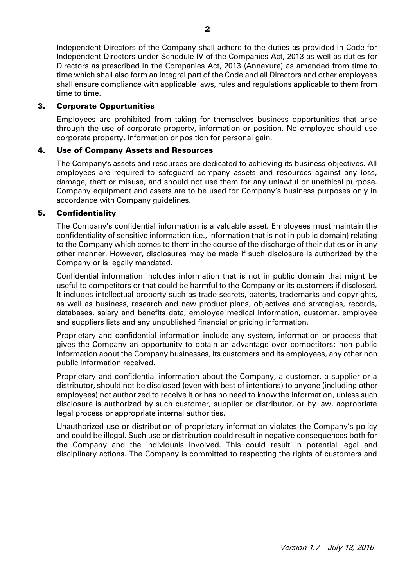Independent Directors of the Company shall adhere to the duties as provided in Code for Independent Directors under Schedule IV of the Companies Act, 2013 as well as duties for Directors as prescribed in the Companies Act, 2013 (Annexure) as amended from time to time which shall also form an integral part of the Code and all Directors and other employees shall ensure compliance with applicable laws, rules and regulations applicable to them from time to time.

# 3. Corporate Opportunities

Employees are prohibited from taking for themselves business opportunities that arise through the use of corporate property, information or position. No employee should use corporate property, information or position for personal gain.

# 4. Use of Company Assets and Resources

The Company's assets and resources are dedicated to achieving its business objectives. All employees are required to safeguard company assets and resources against any loss, damage, theft or misuse, and should not use them for any unlawful or unethical purpose. Company equipment and assets are to be used for Company's business purposes only in accordance with Company guidelines.

# 5. Confidentiality

The Company's confidential information is a valuable asset. Employees must maintain the confidentiality of sensitive information (i.e., information that is not in public domain) relating to the Company which comes to them in the course of the discharge of their duties or in any other manner. However, disclosures may be made if such disclosure is authorized by the Company or is legally mandated.

Confidential information includes information that is not in public domain that might be useful to competitors or that could be harmful to the Company or its customers if disclosed. It includes intellectual property such as trade secrets, patents, trademarks and copyrights, as well as business, research and new product plans, objectives and strategies, records, databases, salary and benefits data, employee medical information, customer, employee and suppliers lists and any unpublished financial or pricing information.

Proprietary and confidential information include any system, information or process that gives the Company an opportunity to obtain an advantage over competitors; non public information about the Company businesses, its customers and its employees, any other non public information received.

Proprietary and confidential information about the Company, a customer, a supplier or a distributor, should not be disclosed (even with best of intentions) to anyone (including other employees) not authorized to receive it or has no need to know the information, unless such disclosure is authorized by such customer, supplier or distributor, or by law, appropriate legal process or appropriate internal authorities.

Unauthorized use or distribution of proprietary information violates the Company's policy and could be illegal. Such use or distribution could result in negative consequences both for the Company and the individuals involved. This could result in potential legal and disciplinary actions. The Company is committed to respecting the rights of customers and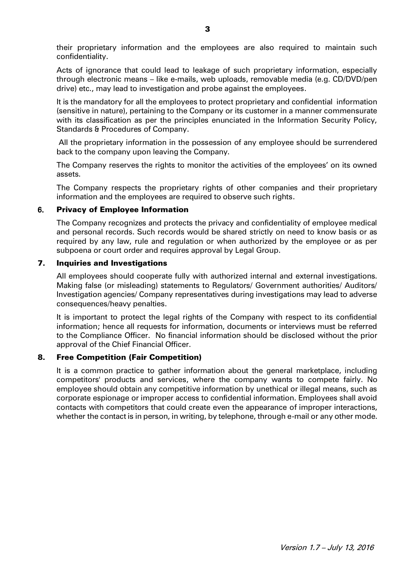Acts of ignorance that could lead to leakage of such proprietary information, especially through electronic means – like e-mails, web uploads, removable media (e.g. CD/DVD/pen drive) etc., may lead to investigation and probe against the employees.

It is the mandatory for all the employees to protect proprietary and confidential information (sensitive in nature), pertaining to the Company or its customer in a manner commensurate with its classification as per the principles enunciated in the Information Security Policy, Standards & Procedures of Company.

All the proprietary information in the possession of any employee should be surrendered back to the company upon leaving the Company.

The Company reserves the rights to monitor the activities of the employees' on its owned assets.

The Company respects the proprietary rights of other companies and their proprietary information and the employees are required to observe such rights.

# 6. Privacy of Employee Information

The Company recognizes and protects the privacy and confidentiality of employee medical and personal records. Such records would be shared strictly on need to know basis or as required by any law, rule and regulation or when authorized by the employee or as per subpoena or court order and requires approval by Legal Group.

# 7. Inquiries and Investigations

All employees should cooperate fully with authorized internal and external investigations. Making false (or misleading) statements to Regulators/ Government authorities/ Auditors/ Investigation agencies/ Company representatives during investigations may lead to adverse consequences/heavy penalties.

It is important to protect the legal rights of the Company with respect to its confidential information; hence all requests for information, documents or interviews must be referred to the Compliance Officer. No financial information should be disclosed without the prior approval of the Chief Financial Officer.

# 8. Free Competition (Fair Competition)

It is a common practice to gather information about the general marketplace, including competitors' products and services, where the company wants to compete fairly. No employee should obtain any competitive information by unethical or illegal means, such as corporate espionage or improper access to confidential information. Employees shall avoid contacts with competitors that could create even the appearance of improper interactions, whether the contact is in person, in writing, by telephone, through e-mail or any other mode.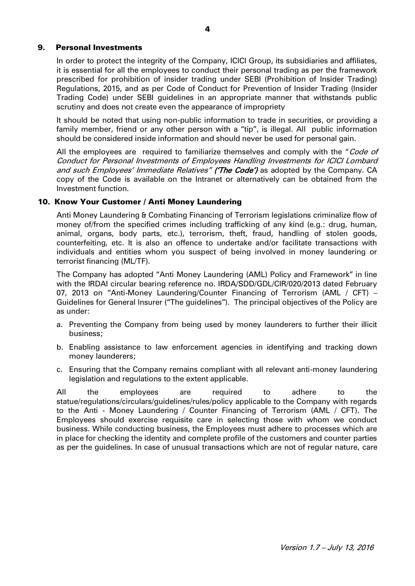### 9. Personal Investments

In order to protect the integrity of the Company, ICICI Group, its subsidiaries and affiliates, it is essential for all the employees to conduct their personal trading as per the framework prescribed for prohibition of insider trading under SEBI (Prohibition of Insider Trading) Regulations, 2015, and as per Code of Conduct for Prevention of Insider Trading (Insider Trading Code) under SEBI guidelines in an appropriate manner that withstands public scrutiny and does not create even the appearance of impropriety

It should be noted that using non-public information to trade in securities, or providing a family member, friend or any other person with a "tip", is illegal. All public information should be considered inside information and should never be used for personal gain.

All the employees are required to familiarize themselves and comply with the "Code of Conduct for Personal Investments of Employees Handling Investments for ICICI Lombard and such Employees' Immediate Relatives" ('The Code') as adopted by the Company. CA copy of the Code is available on the Intranet or alternatively can be obtained from the Investment function.

### 10. Know Your Customer / Anti Money Laundering

Anti Money Laundering & Combating Financing of Terrorism legislations criminalize flow of money of/from the specified crimes including trafficking of any kind (e.g.: drug, human, animal, organs, body parts, etc.), terrorism, theft, fraud, handling of stolen goods, counterfeiting, etc. It is also an offence to undertake and/or facilitate transactions with individuals and entities whom you suspect of being involved in money laundering or terrorist financing (ML/TF).

The Company has adopted "Anti Money Laundering (AML) Policy and Framework" in line with the IRDAI circular bearing reference no. IRDA/SDD/GDL/CIR/020/2013 dated February 07, 2013 on "Anti-Money Laundering/Counter Financing of Terrorism (AML / CFT) – Guidelines for General Insurer ("The guidelines"). The principal objectives of the Policy are as under:

- a. Preventing the Company from being used by money launderers to further their illicit business;
- b. Enabling assistance to law enforcement agencies in identifying and tracking down money launderers;
- c. Ensuring that the Company remains compliant with all relevant anti-money laundering legislation and regulations to the extent applicable.

All the employees are required to adhere to the statue/regulations/circulars/guidelines/rules/policy applicable to the Company with regards to the Anti - Money Laundering / Counter Financing of Terrorism (AML / CFT). The Employees should exercise requisite care in selecting those with whom we conduct business. While conducting business, the Employees must adhere to processes which are in place for checking the identity and complete profile of the customers and counter parties as per the guidelines. In case of unusual transactions which are not of regular nature, care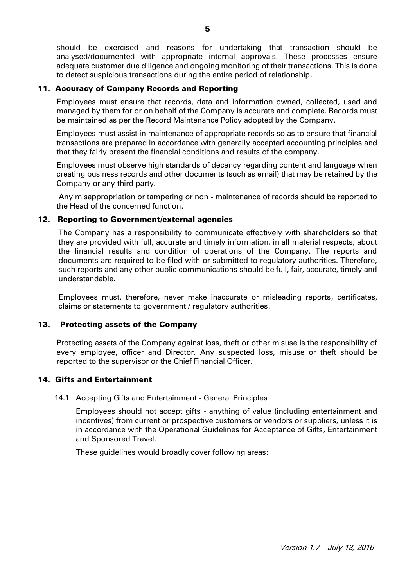should be exercised and reasons for undertaking that transaction should be analysed/documented with appropriate internal approvals. These processes ensure adequate customer due diligence and ongoing monitoring of their transactions. This is done to detect suspicious transactions during the entire period of relationship.

# 11. Accuracy of Company Records and Reporting

Employees must ensure that records, data and information owned, collected, used and managed by them for or on behalf of the Company is accurate and complete. Records must be maintained as per the Record Maintenance Policy adopted by the Company.

Employees must assist in maintenance of appropriate records so as to ensure that financial transactions are prepared in accordance with generally accepted accounting principles and that they fairly present the financial conditions and results of the company.

Employees must observe high standards of decency regarding content and language when creating business records and other documents (such as email) that may be retained by the Company or any third party.

Any misappropriation or tampering or non - maintenance of records should be reported to the Head of the concerned function.

# 12. Reporting to Government/external agencies

The Company has a responsibility to communicate effectively with shareholders so that they are provided with full, accurate and timely information, in all material respects, about the financial results and condition of operations of the Company. The reports and documents are required to be filed with or submitted to regulatory authorities. Therefore, such reports and any other public communications should be full, fair, accurate, timely and understandable.

Employees must, therefore, never make inaccurate or misleading reports, certificates, claims or statements to government / regulatory authorities.

# 13. Protecting assets of the Company

Protecting assets of the Company against loss, theft or other misuse is the responsibility of every employee, officer and Director. Any suspected loss, misuse or theft should be reported to the supervisor or the Chief Financial Officer.

# 14. Gifts and Entertainment

#### 14.1 Accepting Gifts and Entertainment - General Principles

Employees should not accept gifts - anything of value (including entertainment and incentives) from current or prospective customers or vendors or suppliers, unless it is in accordance with the Operational Guidelines for Acceptance of Gifts, Entertainment and Sponsored Travel.

These guidelines would broadly cover following areas: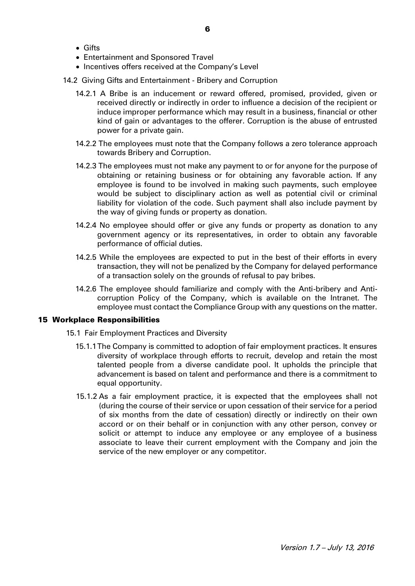- Gifts
- Entertainment and Sponsored Travel
- Incentives offers received at the Company's Level
- 14.2 Giving Gifts and Entertainment Bribery and Corruption
	- 14.2.1 A Bribe is an inducement or reward offered, promised, provided, given or received directly or indirectly in order to influence a decision of the recipient or induce improper performance which may result in a business, financial or other kind of gain or advantages to the offerer. Corruption is the abuse of entrusted power for a private gain.
	- 14.2.2 The employees must note that the Company follows a zero tolerance approach towards Bribery and Corruption.
	- 14.2.3 The employees must not make any payment to or for anyone for the purpose of obtaining or retaining business or for obtaining any favorable action. If any employee is found to be involved in making such payments, such employee would be subject to disciplinary action as well as potential civil or criminal liability for violation of the code. Such payment shall also include payment by the way of giving funds or property as donation.
	- 14.2.4 No employee should offer or give any funds or property as donation to any government agency or its representatives, in order to obtain any favorable performance of official duties.
	- 14.2.5 While the employees are expected to put in the best of their efforts in every transaction, they will not be penalized by the Company for delayed performance of a transaction solely on the grounds of refusal to pay bribes.
	- 14.2.6 The employee should familiarize and comply with the Anti-bribery and Anticorruption Policy of the Company, which is available on the Intranet. The employee must contact the Compliance Group with any questions on the matter.

#### 15 Workplace Responsibilities

- 15.1 Fair Employment Practices and Diversity
	- 15.1.1The Company is committed to adoption of fair employment practices. It ensures diversity of workplace through efforts to recruit, develop and retain the most talented people from a diverse candidate pool. It upholds the principle that advancement is based on talent and performance and there is a commitment to equal opportunity.
	- 15.1.2 As a fair employment practice, it is expected that the employees shall not (during the course of their service or upon cessation of their service for a period of six months from the date of cessation) directly or indirectly on their own accord or on their behalf or in conjunction with any other person, convey or solicit or attempt to induce any employee or any employee of a business associate to leave their current employment with the Company and join the service of the new employer or any competitor.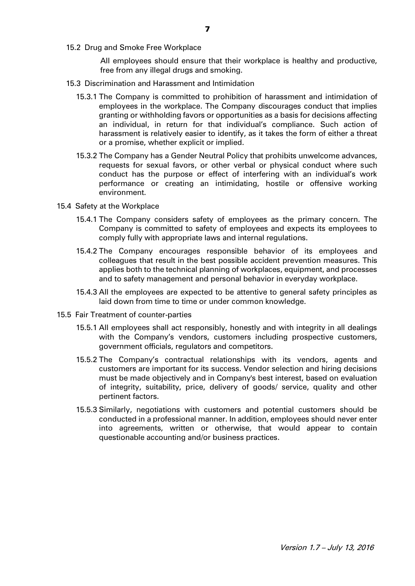15.2 Drug and Smoke Free Workplace

All employees should ensure that their workplace is healthy and productive, free from any illegal drugs and smoking.

- 15.3 Discrimination and Harassment and Intimidation
	- 15.3.1 The Company is committed to prohibition of harassment and intimidation of employees in the workplace. The Company discourages conduct that implies granting or withholding favors or opportunities as a basis for decisions affecting an individual, in return for that individual's compliance. Such action of harassment is relatively easier to identify, as it takes the form of either a threat or a promise, whether explicit or implied.
	- 15.3.2 The Company has a Gender Neutral Policy that prohibits unwelcome advances, requests for sexual favors, or other verbal or physical conduct where such conduct has the purpose or effect of interfering with an individual's work performance or creating an intimidating, hostile or offensive working environment.
- 15.4 Safety at the Workplace
	- 15.4.1 The Company considers safety of employees as the primary concern. The Company is committed to safety of employees and expects its employees to comply fully with appropriate laws and internal regulations.
	- 15.4.2 The Company encourages responsible behavior of its employees and colleagues that result in the best possible accident prevention measures. This applies both to the technical planning of workplaces, equipment, and processes and to safety management and personal behavior in everyday workplace.
	- 15.4.3 All the employees are expected to be attentive to general safety principles as laid down from time to time or under common knowledge.
- 15.5 Fair Treatment of counter-parties
	- 15.5.1 All employees shall act responsibly, honestly and with integrity in all dealings with the Company's vendors, customers including prospective customers, government officials, regulators and competitors.
	- 15.5.2 The Company's contractual relationships with its vendors, agents and customers are important for its success. Vendor selection and hiring decisions must be made objectively and in Company's best interest, based on evaluation of integrity, suitability, price, delivery of goods/ service, quality and other pertinent factors.
	- 15.5.3 Similarly, negotiations with customers and potential customers should be conducted in a professional manner. In addition, employees should never enter into agreements, written or otherwise, that would appear to contain questionable accounting and/or business practices.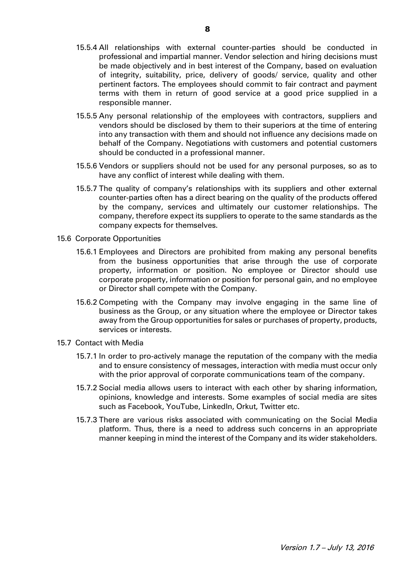- 15.5.4 All relationships with external counter-parties should be conducted in professional and impartial manner. Vendor selection and hiring decisions must be made objectively and in best interest of the Company, based on evaluation of integrity, suitability, price, delivery of goods/ service, quality and other pertinent factors. The employees should commit to fair contract and payment terms with them in return of good service at a good price supplied in a responsible manner.
- 15.5.5 Any personal relationship of the employees with contractors, suppliers and vendors should be disclosed by them to their superiors at the time of entering into any transaction with them and should not influence any decisions made on behalf of the Company. Negotiations with customers and potential customers should be conducted in a professional manner.
- 15.5.6 Vendors or suppliers should not be used for any personal purposes, so as to have any conflict of interest while dealing with them.
- 15.5.7 The quality of company's relationships with its suppliers and other external counter-parties often has a direct bearing on the quality of the products offered by the company, services and ultimately our customer relationships. The company, therefore expect its suppliers to operate to the same standards as the company expects for themselves.
- 15.6 Corporate Opportunities
	- 15.6.1 Employees and Directors are prohibited from making any personal benefits from the business opportunities that arise through the use of corporate property, information or position. No employee or Director should use corporate property, information or position for personal gain, and no employee or Director shall compete with the Company.
	- 15.6.2 Competing with the Company may involve engaging in the same line of business as the Group, or any situation where the employee or Director takes away from the Group opportunities for sales or purchases of property, products, services or interests.
- 15.7 Contact with Media
	- 15.7.1 In order to pro-actively manage the reputation of the company with the media and to ensure consistency of messages, interaction with media must occur only with the prior approval of corporate communications team of the company.
	- 15.7.2 Social media allows users to interact with each other by sharing information, opinions, knowledge and interests. Some examples of social media are sites such as Facebook, YouTube, LinkedIn, Orkut, Twitter etc.
	- 15.7.3 There are various risks associated with communicating on the Social Media platform. Thus, there is a need to address such concerns in an appropriate manner keeping in mind the interest of the Company and its wider stakeholders.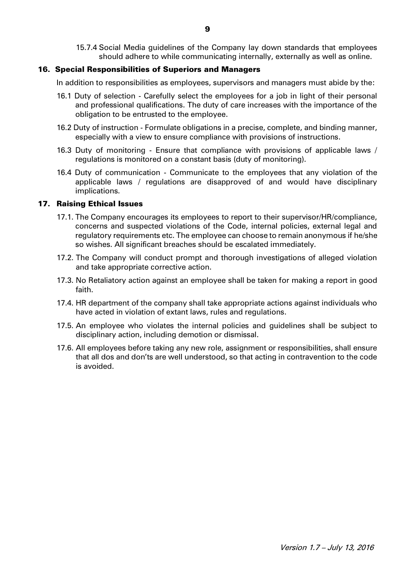15.7.4 Social Media guidelines of the Company lay down standards that employees should adhere to while communicating internally, externally as well as online.

# 16. Special Responsibilities of Superiors and Managers

In addition to responsibilities as employees, supervisors and managers must abide by the:

- 16.1 Duty of selection Carefully select the employees for a job in light of their personal and professional qualifications. The duty of care increases with the importance of the obligation to be entrusted to the employee.
- 16.2 Duty of instruction Formulate obligations in a precise, complete, and binding manner, especially with a view to ensure compliance with provisions of instructions.
- 16.3 Duty of monitoring Ensure that compliance with provisions of applicable laws / regulations is monitored on a constant basis (duty of monitoring).
- 16.4 Duty of communication Communicate to the employees that any violation of the applicable laws / regulations are disapproved of and would have disciplinary implications.

# 17. Raising Ethical Issues

- 17.1. The Company encourages its employees to report to their supervisor/HR/compliance, concerns and suspected violations of the Code, internal policies, external legal and regulatory requirements etc. The employee can choose to remain anonymous if he/she so wishes. All significant breaches should be escalated immediately.
- 17.2. The Company will conduct prompt and thorough investigations of alleged violation and take appropriate corrective action.
- 17.3. No Retaliatory action against an employee shall be taken for making a report in good faith.
- 17.4. HR department of the company shall take appropriate actions against individuals who have acted in violation of extant laws, rules and regulations.
- 17.5. An employee who violates the internal policies and guidelines shall be subject to disciplinary action, including demotion or dismissal.
- 17.6. All employees before taking any new role, assignment or responsibilities, shall ensure that all dos and don'ts are well understood, so that acting in contravention to the code is avoided.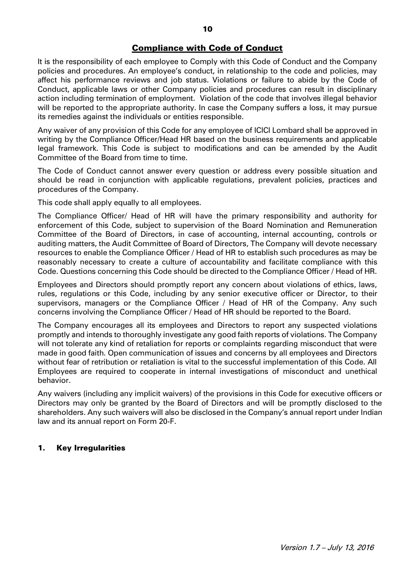# Compliance with Code of Conduct

It is the responsibility of each employee to Comply with this Code of Conduct and the Company policies and procedures. An employee's conduct, in relationship to the code and policies, may affect his performance reviews and job status. Violations or failure to abide by the Code of Conduct, applicable laws or other Company policies and procedures can result in disciplinary action including termination of employment. Violation of the code that involves illegal behavior will be reported to the appropriate authority. In case the Company suffers a loss, it may pursue its remedies against the individuals or entities responsible.

Any waiver of any provision of this Code for any employee of ICICI Lombard shall be approved in writing by the Compliance Officer/Head HR based on the business requirements and applicable legal framework. This Code is subject to modifications and can be amended by the Audit Committee of the Board from time to time.

The Code of Conduct cannot answer every question or address every possible situation and should be read in conjunction with applicable regulations, prevalent policies, practices and procedures of the Company.

This code shall apply equally to all employees.

The Compliance Officer/ Head of HR will have the primary responsibility and authority for enforcement of this Code, subject to supervision of the Board Nomination and Remuneration Committee of the Board of Directors, in case of accounting, internal accounting, controls or auditing matters, the Audit Committee of Board of Directors, The Company will devote necessary resources to enable the Compliance Officer / Head of HR to establish such procedures as may be reasonably necessary to create a culture of accountability and facilitate compliance with this Code. Questions concerning this Code should be directed to the Compliance Officer / Head of HR.

Employees and Directors should promptly report any concern about violations of ethics, laws, rules, regulations or this Code, including by any senior executive officer or Director, to their supervisors, managers or the Compliance Officer / Head of HR of the Company. Any such concerns involving the Compliance Officer / Head of HR should be reported to the Board.

The Company encourages all its employees and Directors to report any suspected violations promptly and intends to thoroughly investigate any good faith reports of violations. The Company will not tolerate any kind of retaliation for reports or complaints regarding misconduct that were made in good faith. Open communication of issues and concerns by all employees and Directors without fear of retribution or retaliation is vital to the successful implementation of this Code. All Employees are required to cooperate in internal investigations of misconduct and unethical behavior.

Any waivers (including any implicit waivers) of the provisions in this Code for executive officers or Directors may only be granted by the Board of Directors and will be promptly disclosed to the shareholders. Any such waivers will also be disclosed in the Company's annual report under Indian law and its annual report on Form 20-F.

# 1. Key Irregularities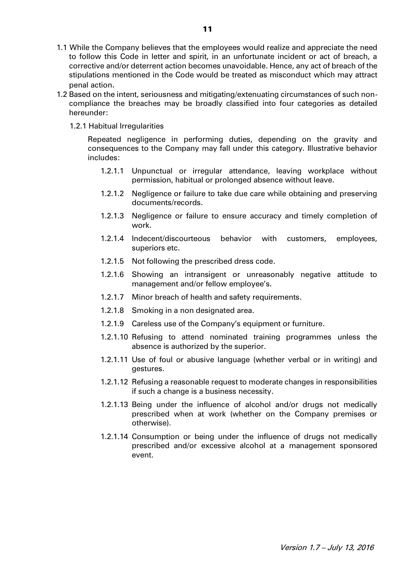- 1.1 While the Company believes that the employees would realize and appreciate the need to follow this Code in letter and spirit, in an unfortunate incident or act of breach, a corrective and/or deterrent action becomes unavoidable. Hence, any act of breach of the stipulations mentioned in the Code would be treated as misconduct which may attract penal action.
- 1.2 Based on the intent, seriousness and mitigating/extenuating circumstances of such noncompliance the breaches may be broadly classified into four categories as detailed hereunder:
	- 1.2.1 Habitual Irregularities

Repeated negligence in performing duties, depending on the gravity and consequences to the Company may fall under this category. Illustrative behavior includes:

- 1.2.1.1 Unpunctual or irregular attendance, leaving workplace without permission, habitual or prolonged absence without leave.
- 1.2.1.2 Negligence or failure to take due care while obtaining and preserving documents/records.
- 1.2.1.3 Negligence or failure to ensure accuracy and timely completion of work.
- 1.2.1.4 Indecent/discourteous behavior with customers, employees, superiors etc.
- 1.2.1.5 Not following the prescribed dress code.
- 1.2.1.6 Showing an intransigent or unreasonably negative attitude to management and/or fellow employee's.
- 1.2.1.7 Minor breach of health and safety requirements.
- 1.2.1.8 Smoking in a non designated area.
- 1.2.1.9 Careless use of the Company's equipment or furniture.
- 1.2.1.10 Refusing to attend nominated training programmes unless the absence is authorized by the superior.
- 1.2.1.11 Use of foul or abusive language (whether verbal or in writing) and gestures.
- 1.2.1.12 Refusing a reasonable request to moderate changes in responsibilities if such a change is a business necessity.
- 1.2.1.13 Being under the influence of alcohol and/or drugs not medically prescribed when at work (whether on the Company premises or otherwise).
- 1.2.1.14 Consumption or being under the influence of drugs not medically prescribed and/or excessive alcohol at a management sponsored event.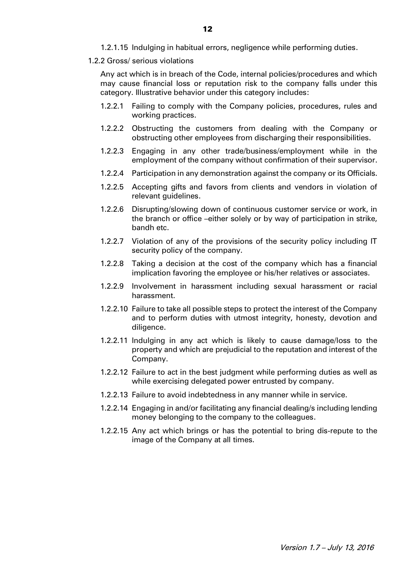1.2.2 Gross/ serious violations

Any act which is in breach of the Code, internal policies/procedures and which may cause financial loss or reputation risk to the company falls under this category. Illustrative behavior under this category includes:

- 1.2.2.1 Failing to comply with the Company policies, procedures, rules and working practices.
- 1.2.2.2 Obstructing the customers from dealing with the Company or obstructing other employees from discharging their responsibilities.
- 1.2.2.3 Engaging in any other trade/business/employment while in the employment of the company without confirmation of their supervisor.
- 1.2.2.4 Participation in any demonstration against the company or its Officials.
- 1.2.2.5 Accepting gifts and favors from clients and vendors in violation of relevant guidelines.
- 1.2.2.6 Disrupting/slowing down of continuous customer service or work, in the branch or office –either solely or by way of participation in strike, bandh etc.
- 1.2.2.7 Violation of any of the provisions of the security policy including IT security policy of the company.
- 1.2.2.8 Taking a decision at the cost of the company which has a financial implication favoring the employee or his/her relatives or associates.
- 1.2.2.9 Involvement in harassment including sexual harassment or racial harassment.
- 1.2.2.10 Failure to take all possible steps to protect the interest of the Company and to perform duties with utmost integrity, honesty, devotion and diligence.
- 1.2.2.11 Indulging in any act which is likely to cause damage/loss to the property and which are prejudicial to the reputation and interest of the Company.
- 1.2.2.12 Failure to act in the best judgment while performing duties as well as while exercising delegated power entrusted by company.
- 1.2.2.13 Failure to avoid indebtedness in any manner while in service.
- 1.2.2.14 Engaging in and/or facilitating any financial dealing/s including lending money belonging to the company to the colleagues.
- 1.2.2.15 Any act which brings or has the potential to bring dis-repute to the image of the Company at all times.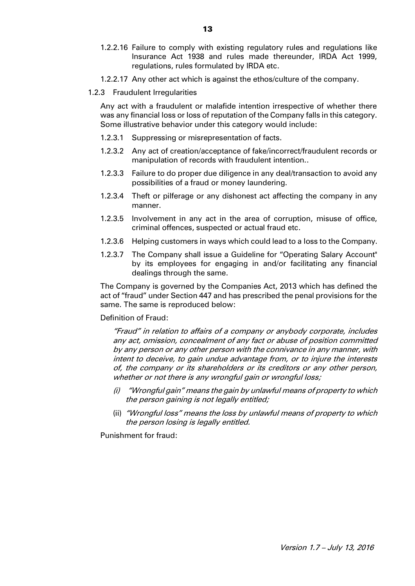- 1.2.2.16 Failure to comply with existing regulatory rules and regulations like Insurance Act 1938 and rules made thereunder, IRDA Act 1999, regulations, rules formulated by IRDA etc.
- 1.2.2.17 Any other act which is against the ethos/culture of the company.
- 1.2.3 Fraudulent Irregularities

Any act with a fraudulent or malafide intention irrespective of whether there was any financial loss or loss of reputation of the Company falls in this category. Some illustrative behavior under this category would include:

- 1.2.3.1 Suppressing or misrepresentation of facts.
- 1.2.3.2 Any act of creation/acceptance of fake/incorrect/fraudulent records or manipulation of records with fraudulent intention..
- 1.2.3.3 Failure to do proper due diligence in any deal/transaction to avoid any possibilities of a fraud or money laundering.
- 1.2.3.4 Theft or pilferage or any dishonest act affecting the company in any manner.
- 1.2.3.5 Involvement in any act in the area of corruption, misuse of office, criminal offences, suspected or actual fraud etc.
- 1.2.3.6 Helping customers in ways which could lead to a loss to the Company.
- 1.2.3.7 The Company shall issue a Guideline for "Operating Salary Account" by its employees for engaging in and/or facilitating any financial dealings through the same.

The Company is governed by the Companies Act, 2013 which has defined the act of "fraud" under Section 447 and has prescribed the penal provisions for the same. The same is reproduced below:

# Definition of Fraud:

"Fraud" in relation to affairs of a company or anybody corporate, includes any act, omission, concealment of any fact or abuse of position committed by any person or any other person with the connivance in any manner, with intent to deceive, to gain undue advantage from, or to injure the interests of, the company or its shareholders or its creditors or any other person, whether or not there is any wrongful gain or wrongful loss;

- (i) "Wrongful gain" means the gain by unlawful means of property to which the person gaining is not legally entitled;
- (ii) "Wrongful loss" means the loss by unlawful means of property to which the person losing is legally entitled.

Punishment for fraud: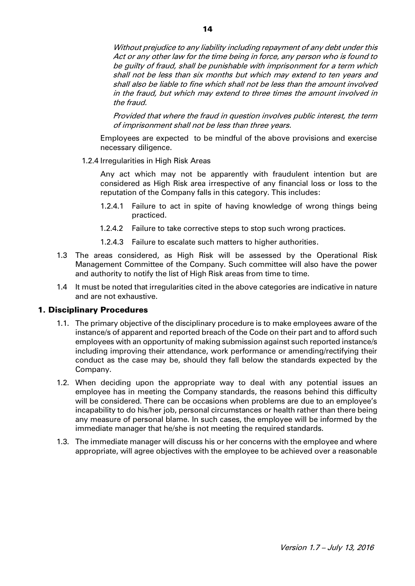Without prejudice to any liability including repayment of any debt under this Act or any other law for the time being in force, any person who is found to be guilty of fraud, shall be punishable with imprisonment for a term which shall not be less than six months but which may extend to ten years and shall also be liable to fine which shall not be less than the amount involved in the fraud, but which may extend to three times the amount involved in the fraud.

Provided that where the fraud in question involves public interest, the term of imprisonment shall not be less than three years.

Employees are expected to be mindful of the above provisions and exercise necessary diligence.

1.2.4 Irregularities in High Risk Areas

Any act which may not be apparently with fraudulent intention but are considered as High Risk area irrespective of any financial loss or loss to the reputation of the Company falls in this category. This includes:

- 1.2.4.1 Failure to act in spite of having knowledge of wrong things being practiced.
- 1.2.4.2 Failure to take corrective steps to stop such wrong practices.
- 1.2.4.3 Failure to escalate such matters to higher authorities.
- 1.3 The areas considered, as High Risk will be assessed by the Operational Risk Management Committee of the Company. Such committee will also have the power and authority to notify the list of High Risk areas from time to time.
- 1.4 It must be noted that irregularities cited in the above categories are indicative in nature and are not exhaustive.

# 1. Disciplinary Procedures

- 1.1. The primary objective of the disciplinary procedure is to make employees aware of the instance/s of apparent and reported breach of the Code on their part and to afford such employees with an opportunity of making submission against such reported instance/s including improving their attendance, work performance or amending/rectifying their conduct as the case may be, should they fall below the standards expected by the Company.
- 1.2. When deciding upon the appropriate way to deal with any potential issues an employee has in meeting the Company standards, the reasons behind this difficulty will be considered. There can be occasions when problems are due to an employee's incapability to do his/her job, personal circumstances or health rather than there being any measure of personal blame. In such cases, the employee will be informed by the immediate manager that he/she is not meeting the required standards.
- 1.3. The immediate manager will discuss his or her concerns with the employee and where appropriate, will agree objectives with the employee to be achieved over a reasonable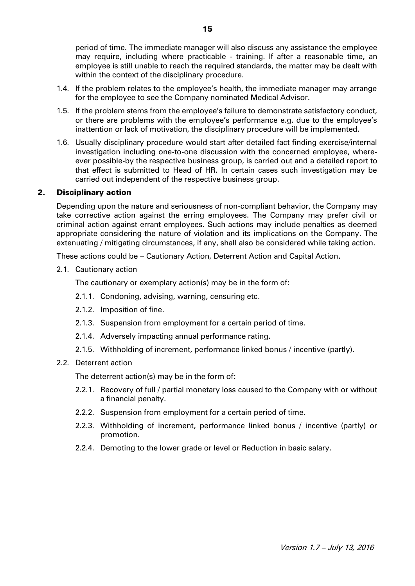period of time. The immediate manager will also discuss any assistance the employee may require, including where practicable - training. If after a reasonable time, an employee is still unable to reach the required standards, the matter may be dealt with within the context of the disciplinary procedure.

- 1.4. If the problem relates to the employee's health, the immediate manager may arrange for the employee to see the Company nominated Medical Advisor.
- 1.5. If the problem stems from the employee's failure to demonstrate satisfactory conduct, or there are problems with the employee's performance e.g. due to the employee's inattention or lack of motivation, the disciplinary procedure will be implemented.
- 1.6. Usually disciplinary procedure would start after detailed fact finding exercise/internal investigation including one-to-one discussion with the concerned employee, whereever possible-by the respective business group, is carried out and a detailed report to that effect is submitted to Head of HR. In certain cases such investigation may be carried out independent of the respective business group.

# 2. Disciplinary action

Depending upon the nature and seriousness of non-compliant behavior, the Company may take corrective action against the erring employees. The Company may prefer civil or criminal action against errant employees. Such actions may include penalties as deemed appropriate considering the nature of violation and its implications on the Company. The extenuating / mitigating circumstances, if any, shall also be considered while taking action.

These actions could be – Cautionary Action, Deterrent Action and Capital Action.

2.1. Cautionary action

The cautionary or exemplary action(s) may be in the form of:

- 2.1.1. Condoning, advising, warning, censuring etc.
- 2.1.2. Imposition of fine.
- 2.1.3. Suspension from employment for a certain period of time.
- 2.1.4. Adversely impacting annual performance rating.
- 2.1.5. Withholding of increment, performance linked bonus / incentive (partly).

# 2.2. Deterrent action

The deterrent action(s) may be in the form of:

- 2.2.1. Recovery of full / partial monetary loss caused to the Company with or without a financial penalty.
- 2.2.2. Suspension from employment for a certain period of time.
- 2.2.3. Withholding of increment, performance linked bonus / incentive (partly) or promotion.
- 2.2.4. Demoting to the lower grade or level or Reduction in basic salary.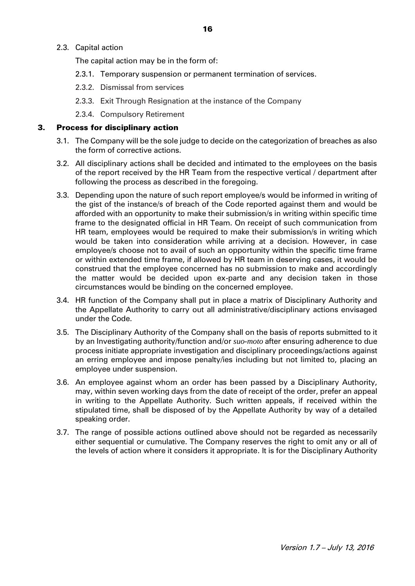### 2.3. Capital action

The capital action may be in the form of:

- 2.3.1. Temporary suspension or permanent termination of services.
- 2.3.2. Dismissal from services
- 2.3.3. Exit Through Resignation at the instance of the Company
- 2.3.4. Compulsory Retirement

### 3. Process for disciplinary action

- 3.1. The Company will be the sole judge to decide on the categorization of breaches as also the form of corrective actions.
- 3.2. All disciplinary actions shall be decided and intimated to the employees on the basis of the report received by the HR Team from the respective vertical / department after following the process as described in the foregoing.
- 3.3. Depending upon the nature of such report employee/s would be informed in writing of the gist of the instance/s of breach of the Code reported against them and would be afforded with an opportunity to make their submission/s in writing within specific time frame to the designated official in HR Team. On receipt of such communication from HR team, employees would be required to make their submission/s in writing which would be taken into consideration while arriving at a decision. However, in case employee/s choose not to avail of such an opportunity within the specific time frame or within extended time frame, if allowed by HR team in deserving cases, it would be construed that the employee concerned has no submission to make and accordingly the matter would be decided upon ex-parte and any decision taken in those circumstances would be binding on the concerned employee.
- 3.4. HR function of the Company shall put in place a matrix of Disciplinary Authority and the Appellate Authority to carry out all administrative/disciplinary actions envisaged under the Code.
- 3.5. The Disciplinary Authority of the Company shall on the basis of reports submitted to it by an Investigating authority/function and/or *suo-moto* after ensuring adherence to due process initiate appropriate investigation and disciplinary proceedings/actions against an erring employee and impose penalty/ies including but not limited to, placing an employee under suspension.
- 3.6. An employee against whom an order has been passed by a Disciplinary Authority, may, within seven working days from the date of receipt of the order, prefer an appeal in writing to the Appellate Authority. Such written appeals, if received within the stipulated time, shall be disposed of by the Appellate Authority by way of a detailed speaking order.
- 3.7. The range of possible actions outlined above should not be regarded as necessarily either sequential or cumulative. The Company reserves the right to omit any or all of the levels of action where it considers it appropriate. It is for the Disciplinary Authority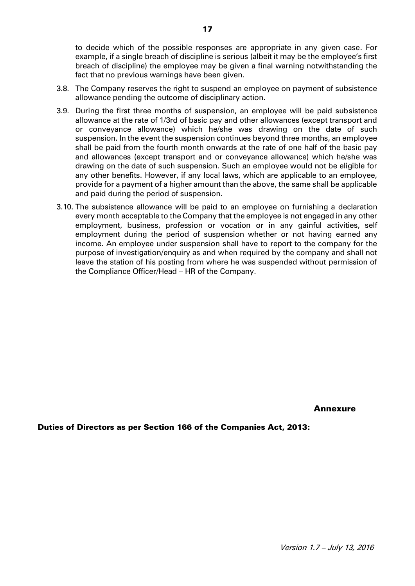to decide which of the possible responses are appropriate in any given case. For example, if a single breach of discipline is serious (albeit it may be the employee's first breach of discipline) the employee may be given a final warning notwithstanding the fact that no previous warnings have been given.

- 3.8. The Company reserves the right to suspend an employee on payment of subsistence allowance pending the outcome of disciplinary action.
- 3.9. During the first three months of suspension, an employee will be paid subsistence allowance at the rate of 1/3rd of basic pay and other allowances (except transport and or conveyance allowance) which he/she was drawing on the date of such suspension. In the event the suspension continues beyond three months, an employee shall be paid from the fourth month onwards at the rate of one half of the basic pay and allowances (except transport and or conveyance allowance) which he/she was drawing on the date of such suspension. Such an employee would not be eligible for any other benefits. However, if any local laws, which are applicable to an employee, provide for a payment of a higher amount than the above, the same shall be applicable and paid during the period of suspension.
- 3.10. The subsistence allowance will be paid to an employee on furnishing a declaration every month acceptable to the Company that the employee is not engaged in any other employment, business, profession or vocation or in any gainful activities, self employment during the period of suspension whether or not having earned any income. An employee under suspension shall have to report to the company for the purpose of investigation/enquiry as and when required by the company and shall not leave the station of his posting from where he was suspended without permission of the Compliance Officer/Head – HR of the Company.

#### Annexure

Duties of Directors as per Section 166 of the Companies Act, 2013:

Version 1.7 – July 13, 2016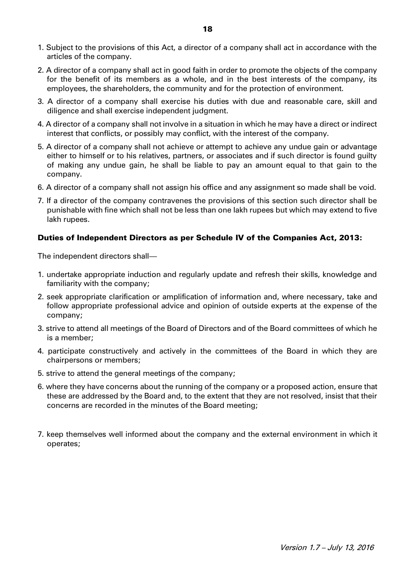- 1. Subject to the provisions of this Act, a director of a company shall act in accordance with the articles of the company.
- 2. A director of a company shall act in good faith in order to promote the objects of the company for the benefit of its members as a whole, and in the best interests of the company, its employees, the shareholders, the community and for the protection of environment.
- 3. A director of a company shall exercise his duties with due and reasonable care, skill and diligence and shall exercise independent judgment.
- 4. A director of a company shall not involve in a situation in which he may have a direct or indirect interest that conflicts, or possibly may conflict, with the interest of the company.
- 5. A director of a company shall not achieve or attempt to achieve any undue gain or advantage either to himself or to his relatives, partners, or associates and if such director is found guilty of making any undue gain, he shall be liable to pay an amount equal to that gain to the company.
- 6. A director of a company shall not assign his office and any assignment so made shall be void.
- 7. If a director of the company contravenes the provisions of this section such director shall be punishable with fine which shall not be less than one lakh rupees but which may extend to five lakh rupees.

# Duties of Independent Directors as per Schedule IV of the Companies Act, 2013:

The independent directors shall—

- 1. undertake appropriate induction and regularly update and refresh their skills, knowledge and familiarity with the company;
- 2. seek appropriate clarification or amplification of information and, where necessary, take and follow appropriate professional advice and opinion of outside experts at the expense of the company;
- 3. strive to attend all meetings of the Board of Directors and of the Board committees of which he is a member;
- 4. participate constructively and actively in the committees of the Board in which they are chairpersons or members;
- 5. strive to attend the general meetings of the company;
- 6. where they have concerns about the running of the company or a proposed action, ensure that these are addressed by the Board and, to the extent that they are not resolved, insist that their concerns are recorded in the minutes of the Board meeting;
- 7. keep themselves well informed about the company and the external environment in which it operates;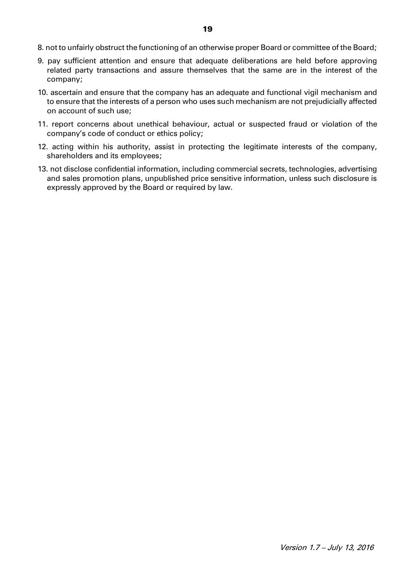- 8. not to unfairly obstruct the functioning of an otherwise proper Board or committee of the Board;
- 9. pay sufficient attention and ensure that adequate deliberations are held before approving related party transactions and assure themselves that the same are in the interest of the company;
- 10. ascertain and ensure that the company has an adequate and functional vigil mechanism and to ensure that the interests of a person who uses such mechanism are not prejudicially affected on account of such use;
- 11. report concerns about unethical behaviour, actual or suspected fraud or violation of the company's code of conduct or ethics policy;
- 12. acting within his authority, assist in protecting the legitimate interests of the company, shareholders and its employees;
- 13. not disclose confidential information, including commercial secrets, technologies, advertising and sales promotion plans, unpublished price sensitive information, unless such disclosure is expressly approved by the Board or required by law.